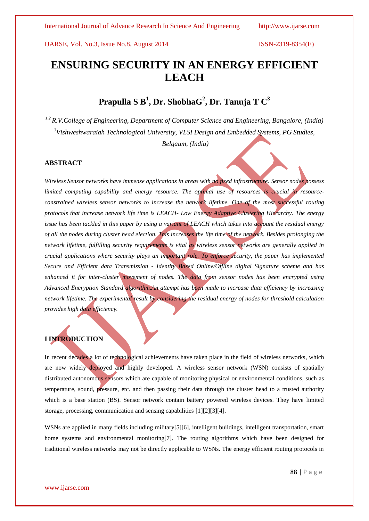# **ENSURING SECURITY IN AN ENERGY EFFICIENT LEACH**

# **Prapulla S B<sup>1</sup> , Dr. ShobhaG<sup>2</sup> , Dr. Tanuja T C<sup>3</sup>**

*1,2 R.V.College of Engineering, Department of Computer Science and Engineering, Bangalore, (India) <sup>3</sup>Vishweshwaraiah Technological University, VLSI Design and Embedded Systems, PG Studies,*

*Belgaum, (India)*

### **ABSTRACT**

*Wireless Sensor networks have immense applications in areas with no fixed infrastructure. Sensor nodes possess limited computing capability and energy resource. The optimal use of resources is crucial in resourceconstrained wireless sensor networks to increase the network lifetime. One of the most successful routing protocols that increase network life time is LEACH- Low Energy Adaptive Clustering Hierarchy. The energy issue has been tackled in this paper by using a variant of LEACH which takes into account the residual energy of all the nodes during cluster head election. This increases the life time of the network. Besides prolonging the network lifetime, fulfilling security requirements is vital as wireless sensor networks are generally applied in crucial applications where security plays an important role. To enforce security, the paper has implemented Secure and Efficient data Transmission - Identity Based Online/Offline digital Signature scheme and has enhanced it for inter-cluster movement of nodes. The data from sensor nodes has been encrypted using Advanced Encryption Standard algorithm.An attempt has been made to increase data efficiency by increasing network lifetime. The experimental result by considering the residual energy of nodes for threshold calculation provides high data efficiency.*

# **I INTRODUCTION**

In recent decades a lot of technological achievements have taken place in the field of wireless networks, which are now widely deployed and highly developed. A wireless sensor network (WSN) consists of spatially distributed autonomous sensors which are capable of monitoring physical or environmental conditions, such as temperature, sound, pressure, etc. and then passing their data through the cluster head to a trusted authority which is a base station (BS). Sensor network contain battery powered wireless devices. They have limited storage, processing, communication and sensing capabilities [1][2][3][4].

WSNs are applied in many fields including military[5][6], intelligent buildings, intelligent transportation, smart home systems and environmental monitoring[7]. The routing algorithms which have been designed for traditional wireless networks may not be directly applicable to WSNs. The energy efficient routing protocols in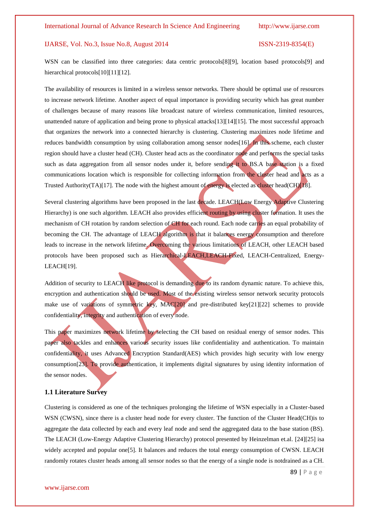WSN can be classified into three categories: data centric protocols[8][9], location based protocols[9] and hierarchical protocols[10][11][12].

The availability of resources is limited in a wireless sensor networks. There should be optimal use of resources to increase network lifetime. Another aspect of equal importance is providing security which has great number of challenges because of many reasons like broadcast nature of wireless communication, limited resources, unattended nature of application and being prone to physical attacks[13][14][15]. The most successful approach that organizes the network into a connected hierarchy is clustering. Clustering maximizes node lifetime and reduces bandwidth consumption by using collaboration among sensor nodes[16]. In this scheme, each cluster region should have a cluster head (CH). Cluster head acts as the coordinator node and performs the special tasks such as data aggregation from all sensor nodes under it, before sending it to BS.A base station is a fixed communications location which is responsible for collecting information from the cluster head and acts as a Trusted Authority(TA)[17]. The node with the highest amount of energy is elected as cluster head(CH)[18].

Several clustering algorithms have been proposed in the last decade. LEACH(Low Energy Adaptive Clustering Hierarchy) is one such algorithm. LEACH also provides efficient routing by using cluster formation. It uses the mechanism of CH rotation by random selection of CH for each round. Each node carries an equal probability of becoming the CH. The advantage of LEACH algorithm is that it balances energy consumption and therefore leads to increase in the network lifetime. Overcoming the various limitations of LEACH, other LEACH based protocols have been proposed such as Hierarchical-LEACH,LEACH-Fixed, LEACH-Centralized, Energy-LEACH[19].

Addition of security to LEACH like protocol is demanding due to its random dynamic nature. To achieve this, encryption and authentication should be used. Most of the existing wireless sensor network security protocols make use of variations of symmetric key, MAC[20] and pre-distributed key[21][22] schemes to provide confidentiality, integrity and authentication of every node.

This paper maximizes network lifetime by selecting the CH based on residual energy of sensor nodes. This paper also tackles and enhances various security issues like confidentiality and authentication. To maintain confidentiality, it uses Advanced Encryption Standard(AES) which provides high security with low energy consumption[23]. To provide authentication, it implements digital signatures by using identity information of the sensor nodes.

#### **1.1 Literature Survey**

Clustering is considered as one of the techniques prolonging the lifetime of WSN especially in a Cluster-based WSN (CWSN), since there is a cluster head node for every cluster. The function of the Cluster Head(CH)is to aggregate the data collected by each and every leaf node and send the aggregated data to the base station (BS). The LEACH (Low-Energy Adaptive Clustering Hierarchy) protocol presented by Heinzelman et.al. [24][25] isa widely accepted and popular one[5]. It balances and reduces the total energy consumption of CWSN. LEACH randomly rotates cluster heads among all sensor nodes so that the energy of a single node is notdrained as a CH.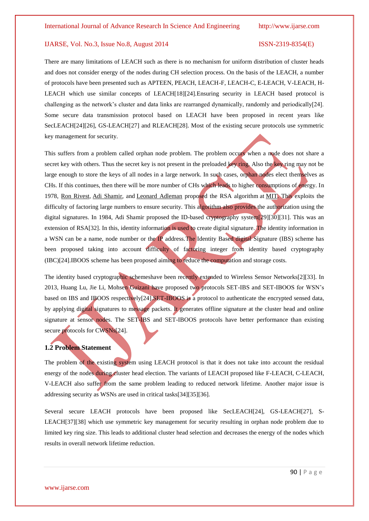There are many limitations of LEACH such as there is no mechanism for uniform distribution of cluster heads and does not consider energy of the nodes during CH selection process. On the basis of the LEACH, a number of protocols have been presented such as APTEEN, PEACH, LEACH-F, LEACH-C, E-LEACH, V-LEACH, H-LEACH which use similar concepts of LEACH[18][24].Ensuring security in LEACH based protocol is challenging as the network's cluster and data links are rearranged dynamically, randomly and periodically[24]. Some secure data transmission protocol based on LEACH have been proposed in recent years like SecLEACH[24][26], GS-LEACH[27] and RLEACH[28]. Most of the existing secure protocols use symmetric key management for security.

This suffers from a problem called orphan node problem. The problem occurs when a node does not share a secret key with others. Thus the secret key is not present in the preloaded key ring. Also the key ring may not be large enough to store the keys of all nodes in a large network. In such cases, orphan nodes elect themselves as CHs. If this continues, then there will be more number of CHs which leads to higher consumptions of energy. In 1978, [Ron Rivest,](http://en.wikipedia.org/wiki/Ron_Rivest) [Adi Shamir,](http://en.wikipedia.org/wiki/Adi_Shamir) and [Leonard Adleman](http://en.wikipedia.org/wiki/Leonard_Adleman) proposed the RSA algorithm at [MIT.](http://en.wikipedia.org/wiki/Massachusetts_Institute_of_Technology) This exploits the difficulty of factoring large numbers to ensure security. This algorithm also provides the authorization using the digital signatures. In 1984, Adi Shamir proposed the ID-based cryptography system[29][30][31]. This was an extension of RSA[32]. In this, identity information is used to create digital signature. The identity information in a WSN can be a name, node number or the IP address.The Identity Based digital Signature (IBS) scheme has been proposed taking into account difficulty of factoring integer from identity based cryptography (IBC)[24].IBOOS scheme has been proposed aiming to reduce the computation and storage costs.

The identity based cryptographic schemeshave been recently extended to Wireless Sensor Networks[2][33]. In 2013, Huang Lu, Jie Li, Mohsen Guizani have proposed two protocols SET-IBS and SET-IBOOS for WSN's based on IBS and IBOOS respectively[24].SET-IBOOS is a protocol to authenticate the encrypted sensed data, by applying digital signatures to message packets. It generates offline signature at the cluster head and online signature at sensor nodes. The SET-IBS and SET-IBOOS protocols have better performance than existing secure protocols for CWSNs[24].

# **1.2 Problem Statement**

The problem of the existing system using LEACH protocol is that it does not take into account the residual energy of the nodes during cluster head election. The variants of LEACH proposed like F-LEACH, C-LEACH, V-LEACH also suffer from the same problem leading to reduced network lifetime. Another major issue is addressing security as WSNs are used in critical tasks[34][35][36].

Several secure LEACH protocols have been proposed like SecLEACH[24], GS-LEACH[27], S-LEACH[37][38] which use symmetric key management for security resulting in orphan node problem due to limited key ring size. This leads to additional cluster head selection and decreases the energy of the nodes which results in overall network lifetime reduction.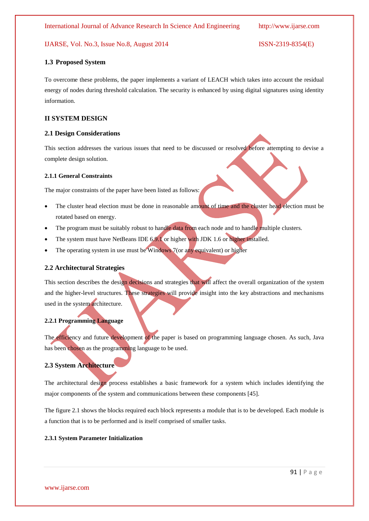#### **1.3 Proposed System**

To overcome these problems, the paper implements a variant of LEACH which takes into account the residual energy of nodes during threshold calculation. The security is enhanced by using digital signatures using identity information.

# **II SYSTEM DESIGN**

#### **2.1 Design Considerations**

This section addresses the various issues that need to be discussed or resolved before attempting to devise a complete design solution.

### **2.1.1 General Constraints**

The major constraints of the paper have been listed as follows:

- The cluster head election must be done in reasonable amount of time and the cluster head election must be rotated based on energy.
- The program must be suitably robust to handle data from each node and to handle multiple clusters.
- The system must have NetBeans IDE 6.9.1 or higher with JDK 1.6 or higher installed.
- The operating system in use must be Windows 7(or any equivalent) or higher

# **2.2 Architectural Strategies**

This section describes the design decisions and strategies that will affect the overall organization of the system and the higher-level structures. These strategies will provide insight into the key abstractions and mechanisms used in the system architecture.

#### **2.2.1 Programming Language**

The efficiency and future development of the paper is based on programming language chosen. As such, Java has been chosen as the programming language to be used.

#### **2.3 System Architecture**

The architectural design process establishes a basic framework for a system which includes identifying the major components of the system and communications between these components [45].

The figure 2.1 shows the blocks required each block represents a module that is to be developed. Each module is a function that is to be performed and is itself comprised of smaller tasks.

### **2.3.1 System Parameter Initialization**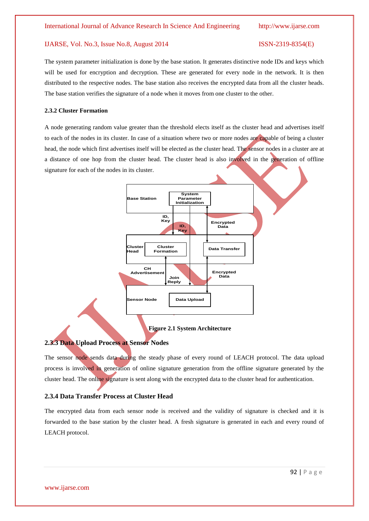The system parameter initialization is done by the base station. It generates distinctive node IDs and keys which will be used for encryption and decryption. These are generated for every node in the network. It is then distributed to the respective nodes. The base station also receives the encrypted data from all the cluster heads. The base station verifies the signature of a node when it moves from one cluster to the other.

#### **2.3.2 Cluster Formation**

A node generating random value greater than the threshold elects itself as the cluster head and advertises itself to each of the nodes in its cluster. In case of a situation where two or more nodes are capable of being a cluster head, the node which first advertises itself will be elected as the cluster head. The sensor nodes in a cluster are at a distance of one hop from the cluster head. The cluster head is also involved in the generation of offline signature for each of the nodes in its cluster.



**Figure 2.1 System Architecture**

# **2.3.3 Data Upload Process at Sensor Nodes**

The sensor node sends data during the steady phase of every round of LEACH protocol. The data upload process is involved in generation of online signature generation from the offline signature generated by the cluster head. The online signature is sent along with the encrypted data to the cluster head for authentication.

# **2.3.4 Data Transfer Process at Cluster Head**

The encrypted data from each sensor node is received and the validity of signature is checked and it is forwarded to the base station by the cluster head. A fresh signature is generated in each and every round of LEACH protocol.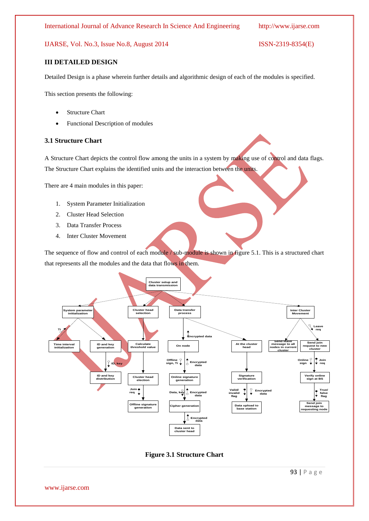# **III DETAILED DESIGN**

Detailed Design is a phase wherein further details and algorithmic design of each of the modules is specified.

This section presents the following:

- Structure Chart
- Functional Description of modules

### **3.1 Structure Chart**

A Structure Chart depicts the control flow among the units in a system by making use of control and data flags. The Structure Chart explains the identified units and the interaction between the units.

There are 4 main modules in this paper:

- 1. System Parameter Initialization
- 2. Cluster Head Selection
- 3. Data Transfer Process
- 4. Inter Cluster Movement

The sequence of flow and control of each module / sub-module is shown in figure 5.1. This is a structured chart that represents all the modules and the data that flows in them.



**Figure 3.1 Structure Chart**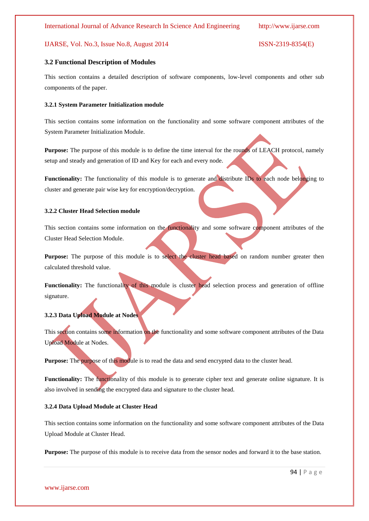### **3.2 Functional Description of Modules**

This section contains a detailed description of software components, low-level components and other sub components of the paper.

### **3.2.1 System Parameter Initialization module**

This section contains some information on the functionality and some software component attributes of the System Parameter Initialization Module.

**Purpose:** The purpose of this module is to define the time interval for the rounds of LEACH protocol, namely setup and steady and generation of ID and Key for each and every node.

**Functionality:** The functionality of this module is to generate and distribute IDs to each node belonging to cluster and generate pair wise key for encryption/decryption.

### **3.2.2 Cluster Head Selection module**

This section contains some information on the functionality and some software component attributes of the Cluster Head Selection Module.

Purpose: The purpose of this module is to select the cluster head based on random number greater then calculated threshold value.

**Functionality:** The functionality of this module is cluster head selection process and generation of offline signature.

# **3.2.3 Data Upload Module at Nodes**

This section contains some information on the functionality and some software component attributes of the Data Upload Module at Nodes.

**Purpose:** The purpose of this module is to read the data and send encrypted data to the cluster head.

Functionality: The functionality of this module is to generate cipher text and generate online signature. It is also involved in sending the encrypted data and signature to the cluster head.

#### **3.2.4 Data Upload Module at Cluster Head**

This section contains some information on the functionality and some software component attributes of the Data Upload Module at Cluster Head.

**Purpose:** The purpose of this module is to receive data from the sensor nodes and forward it to the base station.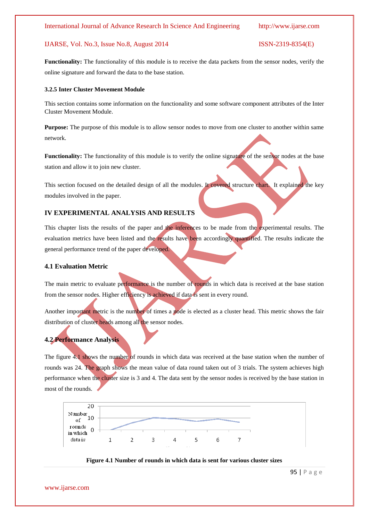**Functionality:** The functionality of this module is to receive the data packets from the sensor nodes, verify the online signature and forward the data to the base station.

#### **3.2.5 Inter Cluster Movement Module**

This section contains some information on the functionality and some software component attributes of the Inter Cluster Movement Module.

**Purpose:** The purpose of this module is to allow sensor nodes to move from one cluster to another within same network.

**Functionality:** The functionality of this module is to verify the online signature of the sensor nodes at the base station and allow it to join new cluster.

This section focused on the detailed design of all the modules. It covered structure chart. It explained the key modules involved in the paper.

# **IV EXPERIMENTAL ANALYSIS AND RESULTS**

This chapter lists the results of the paper and the inferences to be made from the experimental results. The evaluation metrics have been listed and the results have been accordingly quantified. The results indicate the general performance trend of the paper developed.

### **4.1 Evaluation Metric**

The main metric to evaluate performance is the number of rounds in which data is received at the base station from the sensor nodes. Higher efficiency is achieved if data is sent in every round.

Another important metric is the number of times a node is elected as a cluster head. This metric shows the fair distribution of cluster heads among all the sensor nodes.

#### **4.2 Performance Analysis**

The figure 4.1 shows the number of rounds in which data was received at the base station when the number of rounds was 24. The graph shows the mean value of data round taken out of 3 trials. The system achieves high performance when the cluster size is 3 and 4. The data sent by the sensor nodes is received by the base station in most of the rounds.





www.ijarse.com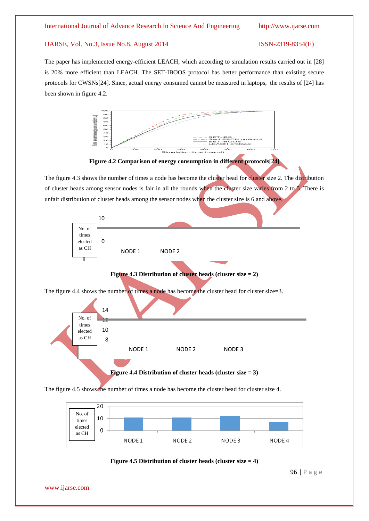The paper has implemented energy-efficient LEACH, which according to simulation results carried out in [28] is 20% more efficient than LEACH. The SET-IBOOS protocol has better performance than existing secure protocols for CWSNs[24]. Since, actual energy consumed cannot be measured in laptops, the results of [24] has been shown in figure 4.2.



**Figure 4.2 Comparison of energy consumption in different protocols[24]**

The figure 4.3 shows the number of times a node has become the cluster head for cluster size 2. The distribution of cluster heads among sensor nodes is fair in all the rounds when the cluster size varies from 2 to 5. There is unfair distribution of cluster heads among the sensor nodes when the cluster size is 6 and above.



The figure 4.5 shows the number of times a node has become the cluster head for cluster size 4.





96 | P a g e

www.ijarse.com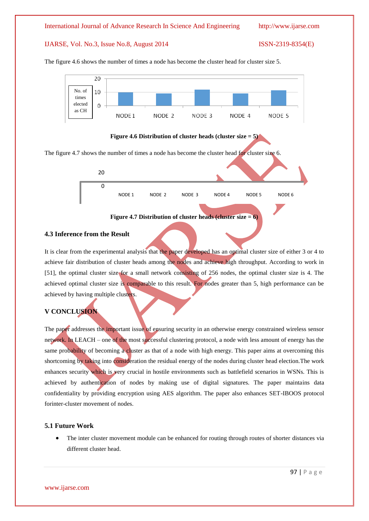

The figure 4.6 shows the number of times a node has become the cluster head for cluster size 5.



The figure 4.7 shows the number of times a node has become the cluster head for cluster size 6.





### **4.3 Inference from the Result**

It is clear from the experimental analysis that the paper developed has an optimal cluster size of either 3 or 4 to achieve fair distribution of cluster heads among the nodes and achieve high throughput. According to work in [51], the optimal cluster size for a small network consisting of 256 nodes, the optimal cluster size is 4. The achieved optimal cluster size is comparable to this result. For nodes greater than 5, high performance can be achieved by having multiple clusters.

# **V CONCLUSION**

The paper addresses the important issue of ensuring security in an otherwise energy constrained wireless sensor network. In LEACH – one of the most successful clustering protocol, a node with less amount of energy has the same probability of becoming a cluster as that of a node with high energy. This paper aims at overcoming this shortcoming by taking into consideration the residual energy of the nodes during cluster head election.The work enhances security which is very crucial in hostile environments such as battlefield scenarios in WSNs. This is achieved by authentication of nodes by making use of digital signatures. The paper maintains data confidentiality by providing encryption using AES algorithm. The paper also enhances SET-IBOOS protocol forinter-cluster movement of nodes.

### **5.1 Future Work**

 The inter cluster movement module can be enhanced for routing through routes of shorter distances via different cluster head.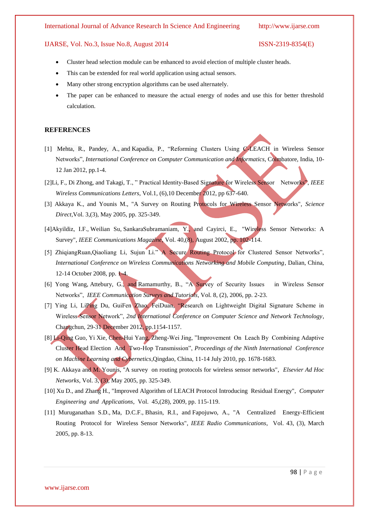#### International Journal of Advance Research In Science And Engineering http://www.ijarse.com

#### IJARSE, Vol. No.3, Issue No.8, August 2014 ISSN-2319-8354(E)

- Cluster head selection module can be enhanced to avoid election of multiple cluster heads.
- This can be extended for real world application using actual sensors.
- Many other strong encryption algorithms can be used alternately.
- The paper can be enhanced to measure the actual energy of nodes and use this for better threshold calculation.

#### **REFERENCES**

- [1] [Mehta, R.,](http://ieeexplore.ieee.org/search/searchresult.jsp?searchWithin=p_Authors:.QT.Mehta,%20R..QT.&searchWithin=p_Author_Ids:38241574800&newsearch=true) [Pandey, A.,](http://ieeexplore.ieee.org/search/searchresult.jsp?searchWithin=p_Authors:.QT.Pandey,%20A..QT.&searchWithin=p_Author_Ids:37584331700&newsearch=true) and [Kapadia, P.,](http://ieeexplore.ieee.org/search/searchresult.jsp?searchWithin=p_Authors:.QT.Kapadia,%20P..QT.&searchWithin=p_Author_Ids:37397236000&newsearch=true) "Reforming Clusters Using C-LEACH in Wireless Sensor Networks", *International Conference on Computer Communication and Informatics*, Coimbatore, India, 10- 12 Jan 2012, pp.1-4.
- [2[\]Li, F.,](http://ieeexplore.ieee.org/search/searchresult.jsp?searchWithin=p_Authors:.QT.Li,%20F..QT.&searchWithin=p_Author_Ids:38527802000&newsearch=true) [Di Zhong,](http://ieeexplore.ieee.org/search/searchresult.jsp?searchWithin=p_Authors:.QT.Di%20Zhong.QT.&searchWithin=p_Author_Ids:38526720000&newsearch=true) and [Takagi, T.,](http://ieeexplore.ieee.org/search/searchresult.jsp?searchWithin=p_Authors:.QT.Takagi,%20T..QT.&searchWithin=p_Author_Ids:38527118800&newsearch=true) " Practical Identity-Based Signature for Wireless Sensor Networks", *IEEE Wireless Communications Letters*, Vol.1, (6),10 December 2012, pp 637-640.
- [3] Akkaya K., and Younis M., "A Survey on Routing Protocols for Wireless Sensor Networks", *Science Direct*,Vol. 3,(3), May 2005, pp. 325-349.
- [4[\]Akyildiz, I.F.,](http://ieeexplore.ieee.org/search/searchresult.jsp?searchWithin=p_Authors:.QT.Akyildiz,%20I.F..QT.&searchWithin=p_Author_Ids:37272190700&newsearch=true) [Weilian Su,](http://ieeexplore.ieee.org/search/searchresult.jsp?searchWithin=p_Authors:.QT.Weilian%20Su.QT.&searchWithin=p_Author_Ids:37276624500&newsearch=true) [SankaraSubramaniam, Y.,](http://ieeexplore.ieee.org/search/searchresult.jsp?searchWithin=p_Authors:.QT.Sankarasubramaniam,%20Y..QT.&searchWithin=p_Author_Ids:37283205000&newsearch=true) and [Cayirci, E.,](http://ieeexplore.ieee.org/search/searchresult.jsp?searchWithin=p_Authors:.QT.Cayirci,%20E..QT.&searchWithin=p_Author_Ids:37266680300&newsearch=true) "Wireless Sensor Networks: A Survey", *IEEE Communications Magazine*, Vol. 40,(8), August 2002, pp. 102-114.
- [5] ZhiqiangRuan,Qiaoliang Li, Sujun Li." A Secure Routing Protocol for Clustered Sensor Networks", *International Conference on Wireless Communications Networking and Mobile Computing*, Dalian, China, 12-14 October 2008, pp. 1-4.
- [6] [Yong Wang,](http://ieeexplore.ieee.org/search/searchresult.jsp?searchWithin=p_Authors:.QT.Yong%20Wang.QT.&newsearch=true) [Attebury, G.,](http://ieeexplore.ieee.org/search/searchresult.jsp?searchWithin=p_Authors:.QT.Attebury,%20G..QT.&newsearch=true) and [Ramamurthy, B.,](http://ieeexplore.ieee.org/search/searchresult.jsp?searchWithin=p_Authors:.QT.Ramamurthy,%20B..QT.&newsearch=true) "A Survey of Security Issues in Wireless Sensor Networks", *IEEE Communication Surveys and Tutorials*, Vol. 8, (2), 2006, pp. 2-23.
- [7] Ying Li, LiPing Du, GuiFen Zhao, FeiDuan, "Research on Lightweight Digital Signature Scheme in Wireless Sensor Network", *2nd International Conference on Computer Science and Network Technology*, Changchun, 29-31 December 2012, pp.1154-1157.
- [8] Li-Qing Guo, Yi Xie, Chen-Hui Yang, Zheng-Wei Jing, "Improvement On Leach By Combining Adaptive Cluster Head Election And Two-Hop Transmission", *Proceedings of the Ninth International Conference on Machine Learning and Cybernetics*,Qingdao, China, 11-14 July 2010, pp. 1678-1683.
- [9] K. Akkaya and M. Younis, ''A survey on routing protocols for wireless sensor networks", *Elsevier Ad Hoc Networks*, Vol. 3, (3), May 2005, pp. 325-349.
- [10] Xu D., and Zhang H., "Improved Algorithm of LEACH Protocol Introducing Residual Energy", *Computer Engineering and Applications*, Vol. 45,(28), 2009, pp. 115-119.
- [11] [Muruganathan](http://ieeexplore.ieee.org/search/searchresult.jsp?searchWithin=p_Authors:.QT.Muruganathan,%20S.D..QT.&searchWithin=p_Author_Ids:37296605800&newsearch=true) S.D., [Ma, D.C.F.,](http://ieeexplore.ieee.org/search/searchresult.jsp?searchWithin=p_Authors:.QT.Ma,%20D.C.F..QT.&searchWithin=p_Author_Ids:37419991600&newsearch=true) [Bhasin, R.I.,](http://ieeexplore.ieee.org/search/searchresult.jsp?searchWithin=p_Authors:.QT.Bhasin,%20R.I..QT.&searchWithin=p_Author_Ids:37424795300&newsearch=true) and [Fapojuwo, A.,](http://ieeexplore.ieee.org/search/searchresult.jsp?searchWithin=p_Authors:.QT.Fapojuwo,%20A..QT.&searchWithin=p_Author_Ids:37272048900&newsearch=true) "A Centralized Energy-Efficient Routing Protocol for Wireless Sensor Networks", *IEEE Radio Communications*, Vol. 43, (3), March 2005, pp. 8-13.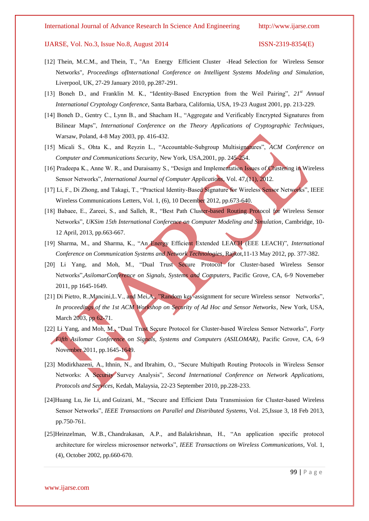- [12] [Thein, M.C.M.,](http://ieeexplore.ieee.org/search/searchresult.jsp?searchWithin=p_Authors:.QT.Thein,%20M.C.M..QT.&searchWithin=p_Author_Ids:37401986800&newsearch=true) and [Thein, T.,](http://ieeexplore.ieee.org/search/searchresult.jsp?searchWithin=p_Authors:.QT.Thein,%20T..QT.&searchWithin=p_Author_Ids:37408064100&newsearch=true) "An Energy Efficient Cluster -Head Selection for Wireless Sensor Networks", *Proceedings ofInternational Conference on Intelligent Systems Modeling and Simulation*, Liverpool, UK, 27-29 January 2010, pp.287-291.
- [13] Boneh D., and Franklin M. K., "Identity-Based Encryption from the Weil Pairing", *21st Annual International Cryptology Conference*, Santa Barbara, California, USA, 19-23 August 2001, pp. 213-229.
- [14] Boneh D., Gentry C., Lynn B., and Shacham H., "Aggregate and Verificably Encrypted Signatures from Bilinear Maps", *International Conference on the Theory Applications of Cryptographic Techniques*, Warsaw, Poland, 4-8 May 2003, pp. 416-432.
- [15] Micali S., Ohta K., and Reyzin L., "Accountable-Subgroup Multisignatures", *ACM Conference on Computer and Communications Security*, New York, USA,2001, pp. 245-254.
- [16] Pradeepa K., Anne W. R., and Duraisamy S., "Design and Implementation Issues of Clustering in Wireless Sensor Networks", *International Journal of Computer Applications*, Vol. 47,(11), 2012.
- [17] Li, F., Di Zhong, and Takagi, T., "Practical Identity-Based Signature for Wireless Sensor Networks", IEEE Wireless Communications Letters, Vol. 1, (6), 10 December 2012, pp.673-640.
- [18] Babaee, E., Zareei, S., and Salleh, R., "Best Path Cluster-based Routing Protocol for Wireless Sensor Networks", *UKSim 15th International Conference on Computer Modeling and Simulation*, Cambridge, 10- 12 April, 2013, pp.663-667.
- [19] Sharma, M., and Sharma, K., "An Energy Efficient Extended LEACH (EEE LEACH)", *International Conference on Communication Systems and Network Technologies*, Rajkot,11-13 May 2012, pp. 377-382.
- [20] Li Yang, and Moh, M., "Dual Trust Secure Protocol for Cluster-based Wireless Sensor Networks",*AsilomarConference on Signals, Systems and Computers*, Pacific Grove, CA, 6-9 Novemeber 2011, pp 1645-1649.
- [21] Di Pietro, R.,Mancini,L.V., and Mei,A., "Random key-assignment for secure Wireless sensor Networks", *In proceedings of the 1st ACM Workshop on Security of Ad Hoc and Sensor Networks*, New York, USA, March 2003, pp 62-71.
- [22] [Li Yang,](http://ieeexplore.ieee.org/search/searchresult.jsp?searchWithin=p_Authors:.QT.Li%20Yang.QT.&searchWithin=p_Author_Ids:38239598400&newsearch=true) and [Moh, M.,](http://ieeexplore.ieee.org/search/searchresult.jsp?searchWithin=p_Authors:.QT.Moh,%20M..QT.&searchWithin=p_Author_Ids:38182269400&newsearch=true) "Dual Trust Secure Protocol for Cluster-based Wireless Sensor Networks", *Forty Fifth Asilomar Conference on Signals, Systems and Computers (ASILOMAR)*, Pacific Grove, CA, 6-9 November 2011, pp.1645-1649.
- [23] [Modirkhazeni, A.,](http://ieeexplore.ieee.org/search/searchresult.jsp?searchWithin=p_Authors:.QT.Modirkhazeni,%20A..QT.&searchWithin=p_Author_Ids:37601668000&newsearch=true) [Ithnin, N.,](http://ieeexplore.ieee.org/search/searchresult.jsp?searchWithin=p_Authors:.QT.Ithnin,%20N..QT.&searchWithin=p_Author_Ids:37601668100&newsearch=true) and [Ibrahim, O.,](http://ieeexplore.ieee.org/search/searchresult.jsp?searchWithin=p_Authors:.QT.Ibrahim,%20O..QT.&searchWithin=p_Author_Ids:37597547000&newsearch=true) "Secure Multipath Routing Protocols in Wireless Sensor Networks: A Security Survey Analysis", *Second International Conference on Network Applications, Protocols and Services*, Kedah, Malaysia, 22-23 September 2010, pp.228-233.
- [24[\]Huang Lu,](http://ieeexplore.ieee.org/search/searchresult.jsp?searchWithin=p_Authors:.QT.Huang%20Lu.QT.&newsearch=true) [Jie Li,](http://ieeexplore.ieee.org/search/searchresult.jsp?searchWithin=p_Authors:.QT.Jie%20Li.QT.&newsearch=true) and [Guizani, M.,](http://ieeexplore.ieee.org/search/searchresult.jsp?searchWithin=p_Authors:.QT.Guizani,%20M..QT.&newsearch=true) "Secure and Efficient Data Transmission for Cluster-based Wireless Sensor Networks", *IEEE Transactions on Parallel and Distributed Systems*, Vol. 25,Issue 3, 18 Feb 2013, pp.750-761.
- [25[\]Heinzelman, W.B.,](http://ieeexplore.ieee.org/search/searchresult.jsp?searchWithin=p_Authors:.QT.Heinzelman,%20W.B..QT.&searchWithin=p_Author_Ids:37274656300&newsearch=true) [Chandrakasan, A.P.,](http://ieeexplore.ieee.org/search/searchresult.jsp?searchWithin=p_Authors:.QT.Chandrakasan,%20A.P..QT.&searchWithin=p_Author_Ids:37269179400&newsearch=true) and [Balakrishnan, H.,](http://ieeexplore.ieee.org/search/searchresult.jsp?searchWithin=p_Authors:.QT.Balakrishnan,%20H..QT.&searchWithin=p_Author_Ids:37278191100&newsearch=true) "An application specific protocol architecture for wireless microsensor networks", *IEEE Transactions on Wireless Communications*, Vol. 1, (4), October 2002, pp.660-670.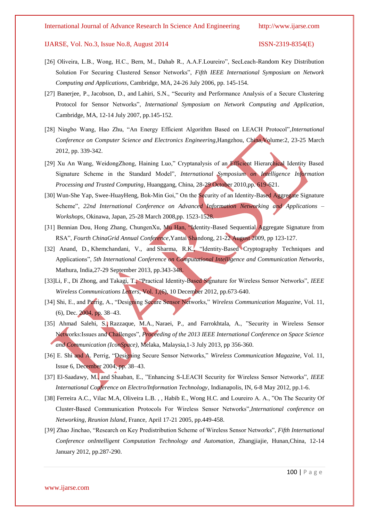- [26] Oliveira, L.B., Wong, H.C., Bern, M., Dahab R., A.A.F.Loureiro", SecLeach-Random Key Distribution Solution For Securing Clustered Sensor Networks", *Fifth IEEE International Symposium on Network Computing and Applications*, Cambridge, MA, 24-26 July 2006, pp. 145-154.
- [27] [Banerjee, P.,](http://ieeexplore.ieee.org/search/searchresult.jsp?searchWithin=p_Authors:.QT.Banerjee,%20P..QT.&searchWithin=p_Author_Ids:37929093600&newsearch=true) [Jacobson, D.,](http://ieeexplore.ieee.org/search/searchresult.jsp?searchWithin=p_Authors:.QT.Jacobson,%20D..QT.&searchWithin=p_Author_Ids:37369160500&newsearch=true) and [Lahiri, S.N.,](http://ieeexplore.ieee.org/search/searchresult.jsp?searchWithin=p_Authors:.QT.Lahiri,%20S.N..QT.&searchWithin=p_Author_Ids:37605013800&newsearch=true) "Security and Performance Analysis of a Secure Clustering Protocol for Sensor Networks", *International Symposium on Network Computing and Application*, Cambridge, MA, 12-14 July 2007, pp.145-152.
- [28] Ningbo Wang, Hao Zhu, "An Energy Efficient Algorithm Based on LEACH Protocol",*International Conference on Computer Science and Electronics Engineering,*Hangzhou, China,Volume:2, 23-25 March 2012, pp. 339-342.
- [29] Xu An Wang, WeidongZhong, Haining Luo," Cryptanalysis of an Efficient Hierarchical Identity Based Signature Scheme in the Standard Model", *International Symposium on Intelligence Information Processing and Trusted Computing*, Huanggang, China, 28-29 October 2010,pp. 619-621.
- [30] Wun-She Yap, Swee-HuayHeng, Bok-Min Goi," On the Security of an Identity-Based Aggregate Signature Scheme", *22nd International Conference on Advanced Information Networking and Applications – Workshops*, Okinawa, Japan, 25-28 March 2008,pp. 1523-1528.
- [31] Bennian Dou, Hong Zhang, ChungenXu, Mu Han, "Identity-Based Sequential Aggregate Signature from RSA", *Fourth ChinaGrid Annual Conference*,Yantai Shandong, 21-22 August 2009, pp 123-127.
- [32] [Anand, D.,](http://ieeexplore.ieee.org/search/searchresult.jsp?searchWithin=p_Authors:.QT.Anand,%20D..QT.&newsearch=true) [Khemchandani, V.,](http://ieeexplore.ieee.org/search/searchresult.jsp?searchWithin=p_Authors:.QT.Khemchandani,%20V..QT.&newsearch=true) and [Sharma, R.K.,](http://ieeexplore.ieee.org/search/searchresult.jsp?searchWithin=p_Authors:.QT.Sharma,%20R.K..QT.&newsearch=true) "Identity-Based Cryptography Techniques and Applications", *5th International Conference on Computational Intelligence and Communication Networks*, Mathura, India,27-29 September 2013, pp.343-348.
- [33[\]Li, F.,](http://ieeexplore.ieee.org/search/searchresult.jsp?searchWithin=p_Authors:.QT.Li,%20F..QT.&searchWithin=p_Author_Ids:38527802000&newsearch=true) [Di Zhong,](http://ieeexplore.ieee.org/search/searchresult.jsp?searchWithin=p_Authors:.QT.Di%20Zhong.QT.&searchWithin=p_Author_Ids:38526720000&newsearch=true) and [Takagi, T.,](http://ieeexplore.ieee.org/search/searchresult.jsp?searchWithin=p_Authors:.QT.Takagi,%20T..QT.&searchWithin=p_Author_Ids:38527118800&newsearch=true) "Practical Identity-Based Signature for Wireless Sensor Networks", *IEEE Wireless Communications Letters*, Vol. 1,(6), 10 December 2012, pp.673-640.
- [34] Shi, E., and Perrig, A., "Designing Secure Sensor Networks," *Wireless Communication Magazine*, Vol. 11, (6), Dec. 2004, pp. 38–43.
- [35] [Ahmad Salehi, S.,](http://ieeexplore.ieee.org/search/searchresult.jsp?searchWithin=p_Authors:.QT.Ahmad%20Salehi,%20S..QT.&newsearch=true) [Razzaque, M.A.,](http://ieeexplore.ieee.org/search/searchresult.jsp?searchWithin=p_Authors:.QT.Razzaque,%20M.A..QT.&newsearch=true) [Naraei, P.,](http://ieeexplore.ieee.org/search/searchresult.jsp?searchWithin=p_Authors:.QT.Naraei,%20P..QT.&newsearch=true) and [Farrokhtala, A.,](http://ieeexplore.ieee.org/search/searchresult.jsp?searchWithin=p_Authors:.QT.Farrokhtala,%20A..QT.&newsearch=true) "Security in Wireless Sensor Networks:Issues and Challenges", *Proceeding of the 2013 IEEE International Conference on Space Science and Communication (IconSpace)*, Melaka, Malaysia,1-3 July 2013, pp 356-360.
- [36] E. Shi and A. Perrig, "Designing Secure Sensor Networks," *Wireless Communication Magazine*, Vol. 11, Issue 6, December 2004, pp. 38–43.
- [37] [El-Saadawy, M.,](http://ieeexplore.ieee.org/search/searchresult.jsp?searchWithin=p_Authors:.QT.El-Saadawy,%20M..QT.&searchWithin=p_Author_Ids:38246423100&newsearch=true) and [Shaaban, E.,](http://ieeexplore.ieee.org/search/searchresult.jsp?searchWithin=p_Authors:.QT.Shaaban,%20E..QT.&searchWithin=p_Author_Ids:37683588400&newsearch=true) "Enhancing S-LEACH Security for Wireless Sensor Networks", *IEEE International Conference on Electro/Information Technology*, Indianapolis, IN, 6-8 May 2012, pp.1-6.
- [38] Ferreira A.C., Vilac M.A, Oliveira L.B. , , Habib E., Wong H.C. and Loureiro A. A., "On The Security Of Cluster-Based Communication Protocols For Wireless Sensor Networks",*International conference on Networking, Reunion Island*, France, April 17-21 2005, pp.449-458.
- [39] Zhao Jinchao, "Research on Key Predistribution Scheme of Wireless Sensor Networks", *Fifth International Conference onIntelligent Computation Technology and Automation*, Zhangjiajie, Hunan,China, 12-14 January 2012, pp.287-290.